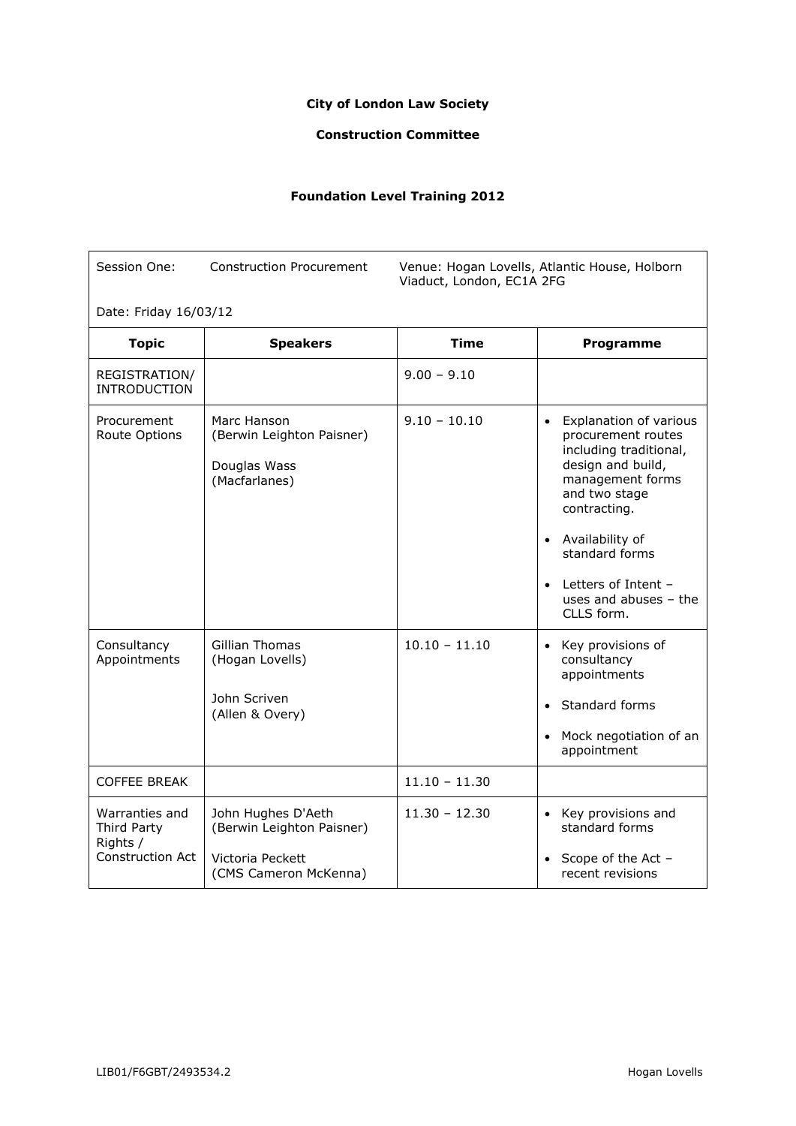## **City of London Law Society**

## **Construction Committee**

## **Foundation Level Training 2012**

| Session One:                                                  | <b>Construction Procurement</b><br>Venue: Hogan Lovells, Atlantic House, Holborn<br>Viaduct, London, EC1A 2FG |                 |                                                                                                                                                                                                                                                                        |  |
|---------------------------------------------------------------|---------------------------------------------------------------------------------------------------------------|-----------------|------------------------------------------------------------------------------------------------------------------------------------------------------------------------------------------------------------------------------------------------------------------------|--|
| Date: Friday 16/03/12                                         |                                                                                                               |                 |                                                                                                                                                                                                                                                                        |  |
| <b>Topic</b>                                                  | <b>Speakers</b>                                                                                               | <b>Time</b>     | Programme                                                                                                                                                                                                                                                              |  |
| REGISTRATION/<br><b>INTRODUCTION</b>                          |                                                                                                               | $9.00 - 9.10$   |                                                                                                                                                                                                                                                                        |  |
| Procurement<br>Route Options                                  | Marc Hanson<br>(Berwin Leighton Paisner)<br>Douglas Wass<br>(Macfarlanes)                                     | $9.10 - 10.10$  | • Explanation of various<br>procurement routes<br>including traditional,<br>design and build,<br>management forms<br>and two stage<br>contracting.<br>• Availability of<br>standard forms<br>Letters of Intent -<br>$\bullet$<br>uses and abuses $-$ the<br>CLLS form. |  |
| Consultancy<br>Appointments                                   | Gillian Thomas<br>(Hogan Lovells)<br>John Scriven<br>(Allen & Overy)                                          | $10.10 - 11.10$ | • Key provisions of<br>consultancy<br>appointments<br>Standard forms<br>$\bullet$<br>• Mock negotiation of an<br>appointment                                                                                                                                           |  |
| <b>COFFEE BREAK</b>                                           |                                                                                                               | $11.10 - 11.30$ |                                                                                                                                                                                                                                                                        |  |
| Warranties and<br>Third Party<br>Rights /<br>Construction Act | John Hughes D'Aeth<br>(Berwin Leighton Paisner)<br>Victoria Peckett<br>(CMS Cameron McKenna)                  | $11.30 - 12.30$ | • Key provisions and<br>standard forms<br>Scope of the Act -<br>recent revisions                                                                                                                                                                                       |  |